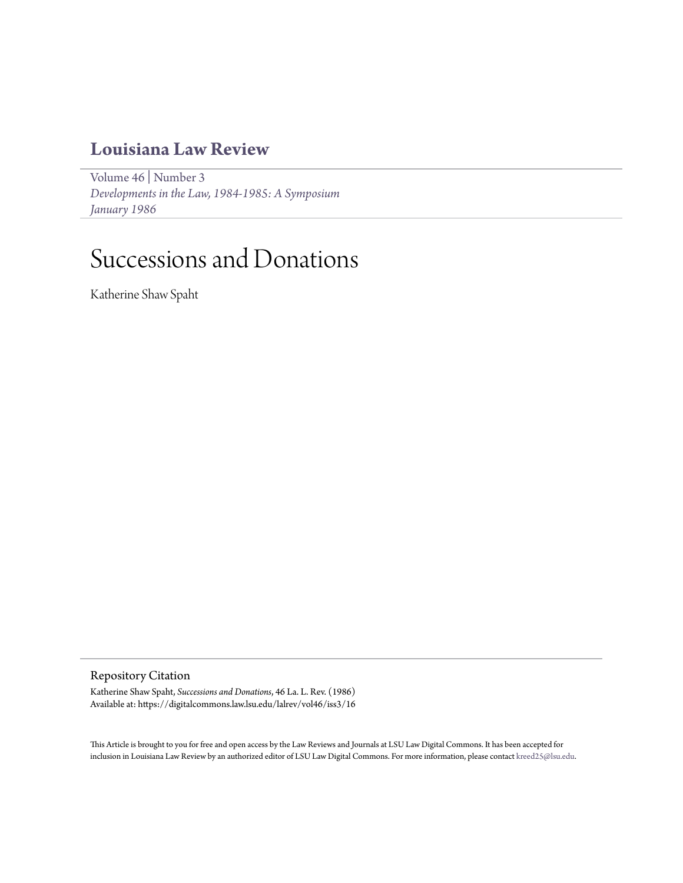## **[Louisiana Law Review](https://digitalcommons.law.lsu.edu/lalrev)**

[Volume 46](https://digitalcommons.law.lsu.edu/lalrev/vol46) | [Number 3](https://digitalcommons.law.lsu.edu/lalrev/vol46/iss3) *[Developments in the Law, 1984-1985: A Symposium](https://digitalcommons.law.lsu.edu/lalrev/vol46/iss3) [January 1986](https://digitalcommons.law.lsu.edu/lalrev/vol46/iss3)*

## Successions and Donations

Katherine Shaw Spaht

Repository Citation

Katherine Shaw Spaht, *Successions and Donations*, 46 La. L. Rev. (1986) Available at: https://digitalcommons.law.lsu.edu/lalrev/vol46/iss3/16

This Article is brought to you for free and open access by the Law Reviews and Journals at LSU Law Digital Commons. It has been accepted for inclusion in Louisiana Law Review by an authorized editor of LSU Law Digital Commons. For more information, please contact [kreed25@lsu.edu](mailto:kreed25@lsu.edu).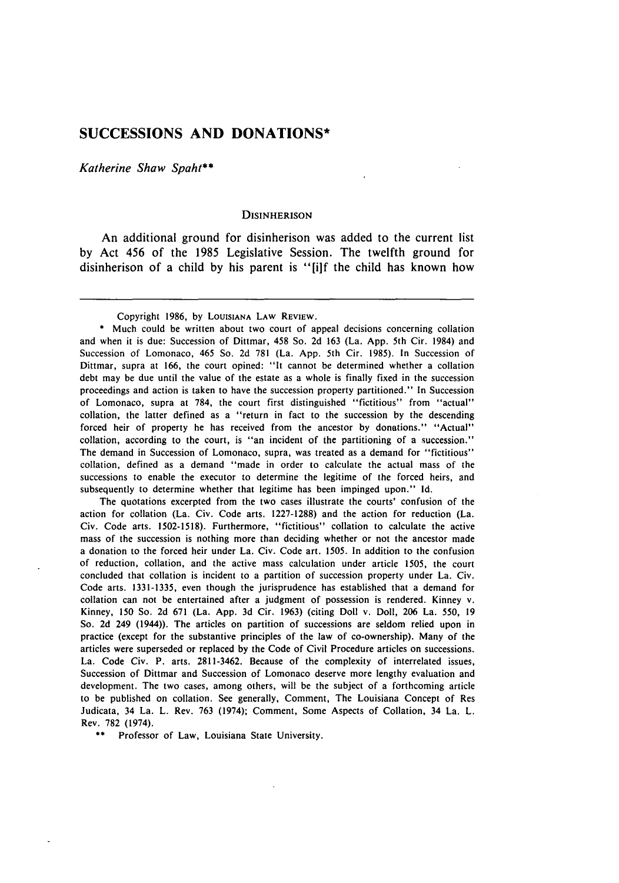## **SUCCESSIONS AND DONATIONS\***

*Katherine Shaw Spaht\*\**

## **DISINHERISON**

An additional ground for disinherison was added to the current list **by** Act 456 of the **1985** Legislative Session. The twelfth ground for disinherison of a child **by** his parent is "[ilf the child has known how

Copyright 1986, **by LOUISIANA** LAW REVIEW.

Much could be written about two court of appeal decisions concerning collation and when it is due: Succession of Dittmar, 458 So. 2d **163** (La. App. 5th Cir. 1984) and Succession of Lomonaco, 465 So. 2d **781** (La. App. 5th Cir. 1985). In Succession of Dittmar, supra at 166, the court opined: "It cannot **be** determined whether a collation debt may be due until the value of the estate as a whole is finally fixed in the succession proceedings and action is taken to have the succession property partitioned." In Succession of Lomonaco, supra at **784,** the court first distinguished "fictitious" from "actual" collation, the latter defined as a "return in fact to the succession **by** the descending forced heir of property he has received from the ancestor **by** donations." "Actual" collation, according to the court, is "an incident of the partitioning of a succession." The demand in Succession of Lomonaco, supra, was treated as a demand for "fictitious" collation, defined as a demand "made in order to calculate the actual mass of the successions to enable the executor to determine the legitime of the forced heirs, and subsequently to determine whether that legitime has been impinged upon." **Id.**

The quotations excerpted from the two cases illustrate the courts' confusion of the action for collation (La. Civ. Code arts. 1227-1288) and the action for reduction (La. Civ. Code arts. 1502-1518). Furthermore, "fictitious" collation to calculate the active mass of the succession is nothing more than deciding whether or not the ancestor made a donation to the forced heir under La. Civ. Code art. 1505. In addition to the confusion of reduction, collation, and the active mass calculation under article 1505, the court concluded that collation is incident to a partition of succession property under La. Civ. Code arts. 1331-1335, even though the jurisprudence has established that a demand for collation can not be entertained after a judgment of possession is rendered. Kinney v. Kinney, **150** So. 2d 671 (La. App. 3d Cir. 1963) (citing Doll v. Doll, 206 La. 550, 19 So. 2d 249 (1944)). The articles on partition of successions are seldom relied upon in practice (except for the substantive principles of the law of co-ownership). Many of the articles were superseded or replaced **by** the Code of Civil Procedure articles on successions. La. Code Civ. P. arts. 2811-3462. Because of the complexity of interrelated issues, Succession of Dittmar and Succession of Lomonaco deserve more lengthy evaluation and development. The two cases, among others, will be the subject of a forthcoming article to be published on collation. See generally, Comment, The Louisiana Concept of Res Judicata, 34 La. L. Rev. 763 (1974); Comment, Some Aspects of Collation, 34 La. L. Rev. **782** (1974).

\*\* Professor of Law, Louisiana State University.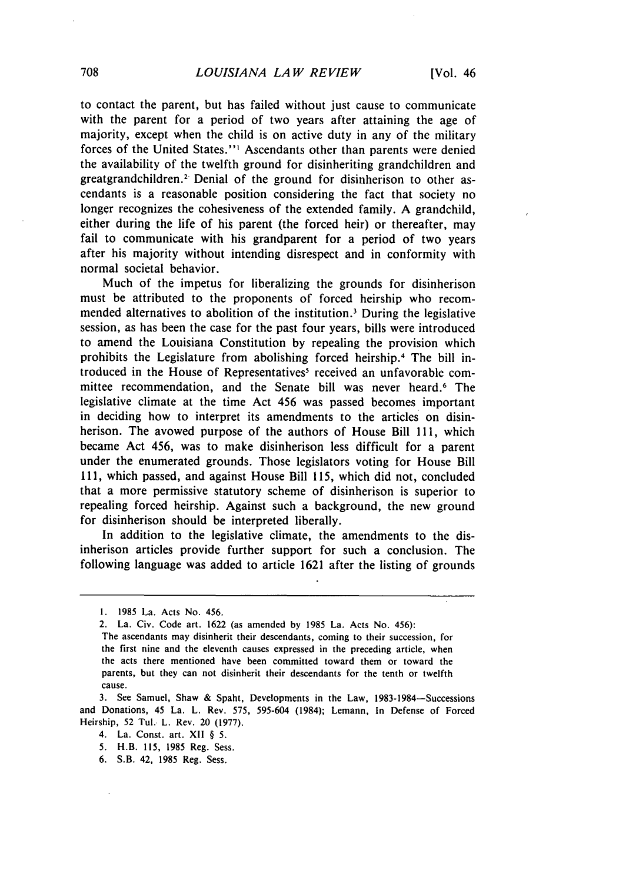to contact the parent, but has failed without just cause to communicate with the parent for a period of two years after attaining the age of majority, except when the child is on active duty in any of the military forces of the United States."' Ascendants other than parents were denied the availability of the twelfth ground for disinheriting grandchildren and greatgrandchildren.<sup>2</sup> Denial of the ground for disinherison to other ascendants is a reasonable position considering the fact that society no longer recognizes the cohesiveness of the extended family. A grandchild, either during the life of his parent (the forced heir) or thereafter, may fail to communicate with his grandparent for a period of two years after his majority without intending disrespect and in conformity with normal societal behavior.

Much of the impetus for liberalizing the grounds for disinherison must be attributed to the proponents of forced heirship who recommended alternatives to abolition of the institution.3 During the legislative session, as has been the case for the past four years, bills were introduced to amend the Louisiana Constitution by repealing the provision which prohibits the Legislature from abolishing forced heirship.<sup>4</sup> The bill introduced in the House of Representatives<sup>5</sup> received an unfavorable committee recommendation, and the Senate bill was never heard.<sup>6</sup> The legislative climate at the time Act 456 was passed becomes important in deciding how to interpret its amendments to the articles on disinherison. The avowed purpose of the authors of House Bill **111,** which became Act 456, was to make disinherison less difficult for a parent under the enumerated grounds. Those legislators voting for House Bill 111, which passed, and against House Bill 115, which did not, concluded that a more permissive statutory scheme of disinherison is superior to repealing forced heirship. Against such a background, the new ground for disinherison should be interpreted liberally.

In addition to the legislative climate, the amendments to the disinherison articles provide further support for such a conclusion. The following language was added to article 1621 after the listing of grounds

<sup>1. 1985</sup> La. Acts No. 456.

<sup>2.</sup> La. Civ. Code art. 1622 (as amended by 1985 La. Acts No. 456):

The ascendants may disinherit their descendants, coming to their succession, for the first nine and the eleventh causes expressed in the preceding article, when the acts there mentioned have been committed toward them or toward the parents, but they can not disinherit their descendants for the tenth or twelfth cause.

<sup>3.</sup> See Samuel, Shaw & Spaht, Developments in the Law, 1983-1984-Successions and Donations, 45 La. L. Rev. 575, 595-604 (1984); Lemann, In Defense of Forced Heirship, 52 Tul. L. Rev. 20 (1977).

<sup>4.</sup> La. Const. art. XII § 5.

<sup>5.</sup> H.B. 115, 1985 Reg. Sess.

<sup>6.</sup> S.B. 42, 1985 Reg. Sess.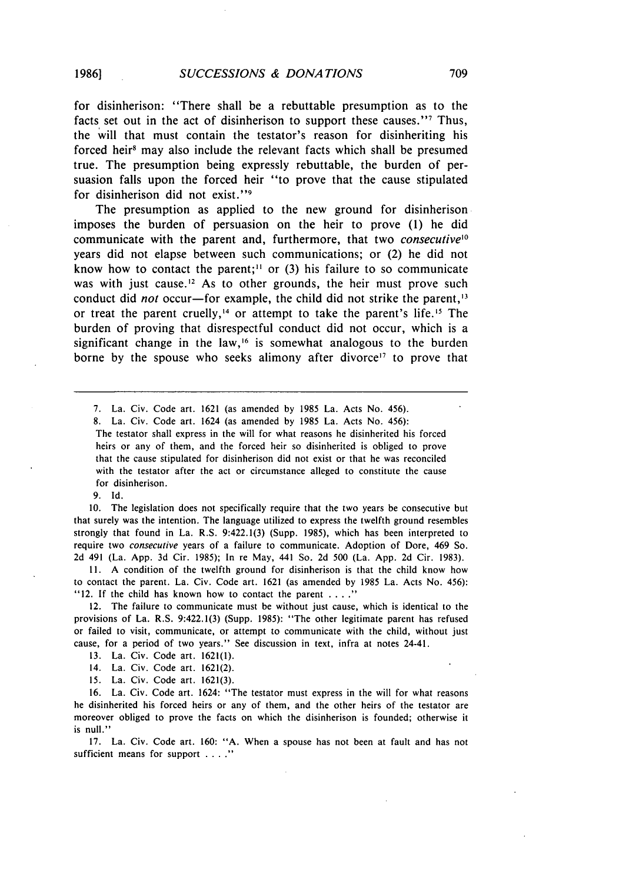for disinherison: "There shall be a rebuttable presumption as to the facts set out in the act of disinherison to support these causes."<sup>7</sup> Thus, the will that must contain the testator's reason for disinheriting his forced heir<sup>8</sup> may also include the relevant facts which shall be presumed true. The presumption being expressly rebuttable, the burden of persuasion falls upon the forced heir "to prove that the cause stipulated for disinherison did not exist."<sup>9</sup>

The presumption as applied to the new ground for disinherison imposes the burden of persuasion on the heir to prove **(1)** he did communicate with the parent and, furthermore, that two *consecutive*<sup>10</sup> years did not elapse between such communications; or (2) he did not know how to contact the parent;<sup>11</sup> or  $(3)$  his failure to so communicate was with just cause.<sup>12</sup> As to other grounds, the heir must prove such conduct did *not* occur-for example, the child did not strike the parent,  $3$ or treat the parent cruelly,<sup>14</sup> or attempt to take the parent's life.<sup>15</sup> The burden of proving that disrespectful conduct did not occur, which is a significant change in the law,<sup>16</sup> is somewhat analogous to the burden borne by the spouse who seeks alimony after divorce<sup>17</sup> to prove that

7. La. Civ. Code art. 1621 (as amended by 1985 La. Acts No. 456).

8. La. Civ. Code art. 1624 (as amended by 1985 La. Acts No. 456):

The testator shall express in the will for what reasons he disinherited his forced heirs or any of them, and the forced heir so disinherited is obliged to prove that the cause stipulated for disinherison did not exist or that he was reconciled with the testator after the act or circumstance alleged to constitute the cause for disinherison.

9. Id.

10. The legislation does not specifically require that the two years be consecutive but that surely was the intention. The language utilized to express the twelfth ground resembles strongly that found in La. R.S. 9:422.1(3) (Supp. 1985), which has been interpreted to require two *consecutive* years of a failure to communicate. Adoption of Dore, 469 So. 2d 491 (La. App. 3d Cir. 1985); In re May, 441 So. 2d 500 (La. App. 2d Cir. 1983).

II. A condition of the twelfth ground for disinherison is that the child know how to contact the parent. La. Civ. Code art. 1621 (as amended by 1985 La. Acts No. 456): "12. If the child has known how to contact the parent **......**

12. The failure to communicate must be without just cause, which is identical to the provisions of La. R.S. 9:422.1(3) (Supp. 1985): "The other legitimate parent has refused or failed to visit, communicate, or attempt to communicate with the child, without just cause, for a period of two years." See discussion in text, infra at notes 24-41.

13. La. Civ. Code art. 1621(l).

14. La. Civ. Code art. 1621(2).

**15.** La. Civ. Code art. 1621(3).

16. La. Civ. Code art. 1624: "The testator must express in the will for what reasons he disinherited his forced heirs or any of them, and the other heirs of the testator are moreover obliged to prove the facts on which the disinherison is founded; otherwise it is null."

17. La. Civ. Code art. 160: "A. When a spouse has not been at fault and has not sufficient means for support . . . .<sup>"</sup>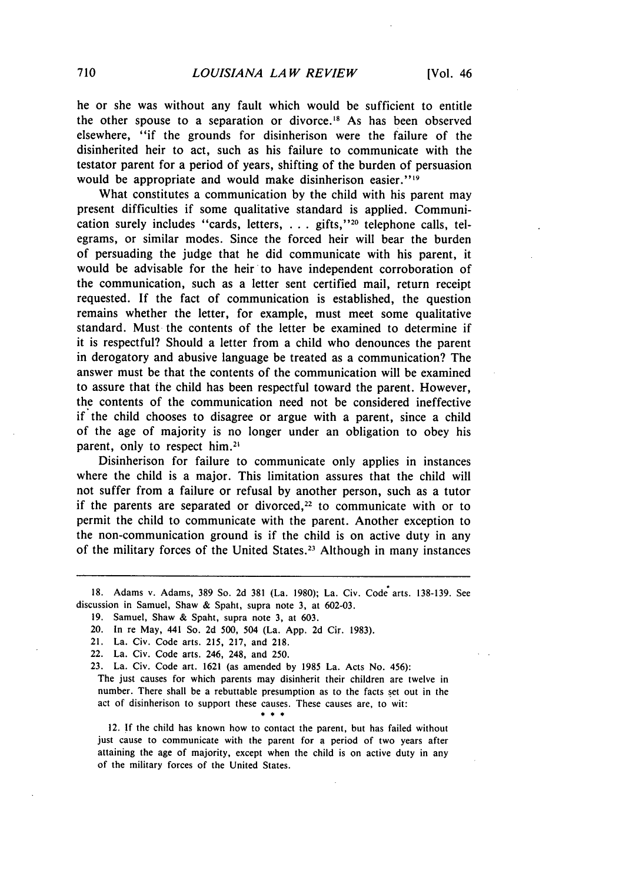he or she was without any fault which would be sufficient to entitle the other spouse to a separation or divorce." As has been observed elsewhere, "if the grounds for disinherison were the failure of the disinherited heir to act, such as his failure to communicate with the testator parent for a period of years, shifting of the burden of persuasion would be appropriate and would make disinherison easier."<sup>19</sup>

What constitutes a communication by the child with his parent may present difficulties if some qualitative standard is applied. Communication surely includes "cards, letters, . . . gifts,"<sup>20</sup> telephone calls, telegrams, or similar modes. Since the forced heir will bear the burden of persuading the judge that he did communicate with his parent, it would be advisable for the heir to have independent corroboration of the communication, such as a letter sent certified mail, return receipt requested. If the fact of communication is established, the question remains whether the letter, for example, must meet some qualitative standard. Must the contents of the letter be examined to determine if it is respectful? Should a letter from a child who denounces the parent in derogatory and abusive language be treated as a communication? The answer must be that the contents of the communication will be examined to assure that the child has been respectful toward the parent. However, the contents of the communication need not be considered ineffective if the child chooses to disagree or argue with a parent, since a child of the age of majority is no longer under an obligation to obey his parent, only to respect him.<sup>21</sup>

Disinherison for failure to communicate only applies in instances where the child is a major. This limitation assures that the child will not suffer from a failure or refusal by another person, such as a tutor if the parents are separated or divorced,<sup>22</sup> to communicate with or to permit the child to communicate with the parent. Another exception to the non-communication ground is if the child is on active duty in any of the military forces of the United States.<sup>23</sup> Although in many instances

- 21. La. Civ. Code arts. 215, 217, and 218.
- 22. La. Civ. Code arts. 246, 248, and 250.
- 23. La. Civ. Code art. 1621 (as amended by 1985 La. Acts No. 456):
- The just causes for which parents may disinherit their children are twelve in number. There shall be a rebuttable presumption as to the facts set out in the act of disinherison to support these causes. These causes are, to wit:  $...$

12. If the child has known how to contact the parent, but has failed without just cause to communicate with the parent for a period of two years after attaining the age of majority, except when the child is on active duty in any of the military forces of the United States.

<sup>18.</sup> Adams v. Adams, 389 So. 2d 381 (La. 1980); La. Civ. Code arts. 138-139. See discussion in Samuel, Shaw & Spaht, supra note 3, at 602-03.

<sup>19.</sup> Samuel, Shaw & Spaht, supra note 3, at 603.

<sup>20.</sup> In re May, 441 So. **2d** 500, 504 (La. App. **2d** Cir. **1983).**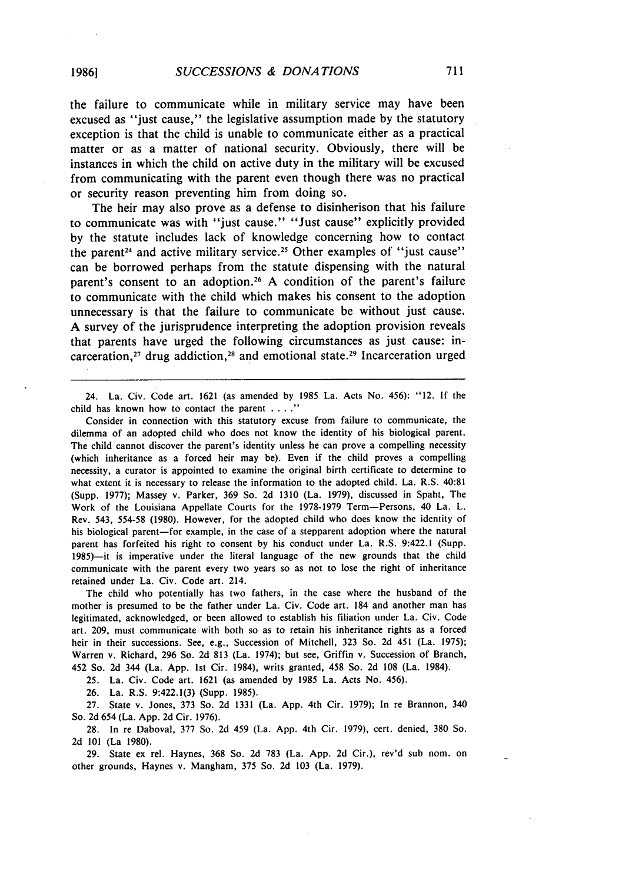the failure to communicate while in military service may have been excused as "just cause," the legislative assumption made by the statutory exception is that the child is unable to communicate either as a practical matter or as a matter of national security. Obviously, there will be instances in which the child on active duty in the military will be excused from communicating with the parent even though there was no practical or security reason preventing him from doing so.

The heir may also prove as a defense to disinherison that his failure to communicate was with "just cause." "Just cause" explicitly provided by the statute includes lack of knowledge concerning how to contact the parent<sup>24</sup> and active military service.<sup>25</sup> Other examples of "just cause" can be borrowed perhaps from the statute dispensing with the natural parent's consent to an adoption.<sup>26</sup> A condition of the parent's failure to communicate with the child which makes his consent to the adoption unnecessary is that the failure to communicate be without just cause. A survey of the jurisprudence interpreting the adoption provision reveals that parents have urged the following circumstances as just cause: incarceration,<sup>27</sup> drug addiction,<sup>28</sup> and emotional state.<sup>29</sup> Incarceration urged

24. La. Civ. Code art. 1621 (as amended by 1985 La. Acts No. 456): "12. If the child has known how to contact the parent . . . ."

Consider in connection with this statutory excuse from failure to communicate, the dilemma of an adopted child who does not know the identity of his biological parent. The child cannot discover the parent's identity unless he can prove a compelling necessity (which inheritance as a forced heir may be). Even if the child proves a compelling necessity, a curator is appointed to examine the original birth certificate to determine to what extent it is necessary to release the information to the adopted child. La. R.S. 40:81 (Supp. 1977); Massey v. Parker, 369 So. 2d 1310 (La. 1979), discussed in Spaht, The Work of the Louisiana Appellate Courts for the 1978-1979 Term-Persons, 40 La. L. Rev. 543, 554-58 (1980). However, for the adopted child who does know the identity of his biological parent-for example, in the case of a stepparent adoption where the natural parent has forfeited his right to consent by his conduct under La. R.S. 9:422.1 (Supp. 1985)-it is imperative under the literal language of the new grounds that the child communicate with the parent every two years so as not to lose the right of inheritance retained under La. Civ. Code art. 214.

The child who potentially has two fathers, in the case where the husband of the mother is presumed to be the father under La. Civ. Code art. 184 and another man has legitimated, acknowledged, or been allowed to establish his filiation under La. Civ. Code art. 209, must communicate with both so as to retain his inheritance rights as a forced heir in their successions. See, e.g., Succession of Mitchell, 323 So. 2d 451 (La. 1975); Warren v. Richard, 296 So. 2d 813 (La. 1974); but see, Griffin v. Succession of Branch, 452 So. 2d 344 (La. App. Ist Cir. 1984), writs granted, 458 So. 2d 108 (La. 1984).

25. La. Civ. Code art. 1621 (as amended by 1985 La. Acts No. 456).

26. La. R.S. 9:422.1(3) (Supp. 1985).

27. State v. Jones, 373 So. 2d 1331 (La. App. 4th Cir. 1979); In re Brannon, 340 So. 2d 654 (La. App. 2d Cir. 1976).

28. In re Daboval, 377 So. 2d 459 (La. App. 4th Cir. 1979), cert. denied, 380 So. 2d 101 (La 1980).

29. State ex rel. Haynes, 368 So. 2d 783 (La. App. 2d Cir.), rev'd sub nom. on other grounds, Haynes v. Mangham, 375 So. 2d 103 (La. 1979).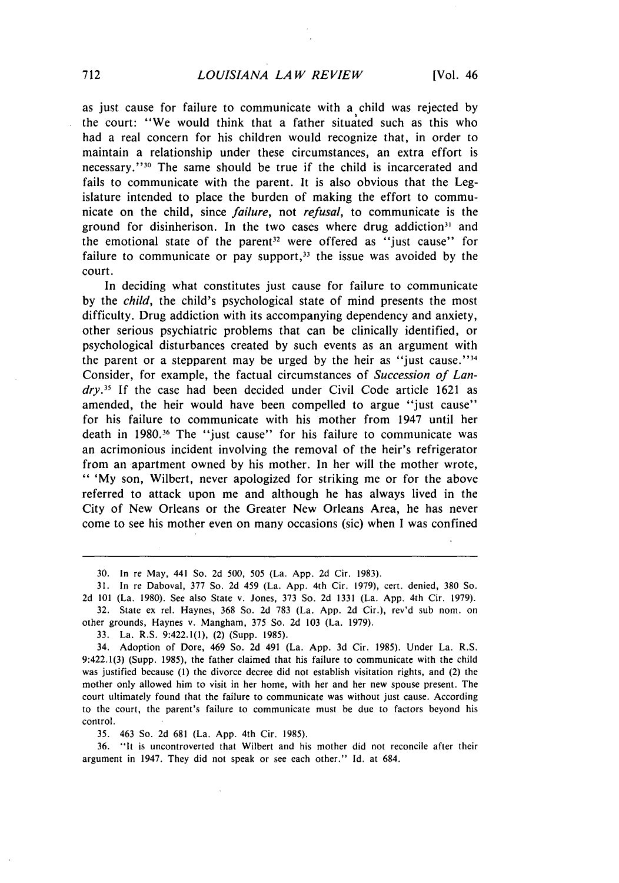as just cause for failure to communicate with a child was rejected by the court: "We would think that a father situated such as this who had a real concern for his children would recognize that, in order to maintain a relationship under these circumstances, an extra effort is necessary." 30 The same should be true if the child is incarcerated and fails to communicate with the parent. It is also obvious that the Legislature intended to place the burden of making the effort to communicate on the child, since *failure,* not *refusal,* to communicate is the ground for disinherison. In the two cases where drug addiction<sup>31</sup> and the emotional state of the parent<sup>32</sup> were offered as "just cause" for failure to communicate or pay support,<sup>33</sup> the issue was avoided by the court.

In deciding what constitutes just cause for failure to communicate by the *child,* the child's psychological state of mind presents the most difficulty. Drug addiction with its accompanying dependency and anxiety, other serious psychiatric problems that can be clinically identified, or psychological disturbances created by such events as an argument with the parent or a stepparent may be urged by the heir as "just cause."<sup>34</sup> Consider, for example, the factual circumstances of *Succession of Lan*dry.<sup>35</sup> If the case had been decided under Civil Code article 1621 as amended, the heir would have been compelled to argue "just cause" for his failure to communicate with his mother from 1947 until her death in 1980.<sup>36</sup> The "just cause" for his failure to communicate was an acrimonious incident involving the removal of the heir's refrigerator from an apartment owned by his mother. In her will the mother wrote, " 'My son, Wilbert, never apologized for striking me or for the above referred to attack upon me and although he has always lived in the City of New Orleans or the Greater New Orleans Area, he has never come to see his mother even on many occasions (sic) when I was confined

33. La. R.S. 9:422.1(1), (2) (Supp. 1985).

34. Adoption of Dore, 469 So. 2d 491 (La. App. 3d Cir. 1985). Under La. R.S. 9:422.1(3) (Supp. 1985), the father claimed that his failure to communicate with the child was justified because (1) the divorce decree did not establish visitation rights, and (2) the mother only allowed him to visit in her home, with her and her new spouse present. The court ultimately found that the failure to communicate was without just cause. According to the court, the parent's failure to communicate must be due to factors beyond his control.

35. 463 So. 2d 681 (La. App. 4th Cir. 1985).

36. "It is uncontroverted that Wilbert and his mother did not reconcile after their argument in 1947. They did not speak or see each other." Id. at 684.

<sup>30.</sup> In re May, 441 So. 2d 500, *505* (La. App. 2d Cir. 1983).

<sup>31.</sup> In re Daboval, 377 So. 2d 459 (La. App. 4th Cir. 1979), cert. denied, 380 So. 2d 101 (La. 1980). See also State v. Jones, 373 So. 2d 1331 (La. App. 4th Cir. 1979).

<sup>32.</sup> State ex rel. Haynes, 368 So. 2d 783 (La. App. 2d Cir.), rev'd sub nom. on other grounds, Haynes v. Mangham, 375 So. 2d 103 (La. 1979).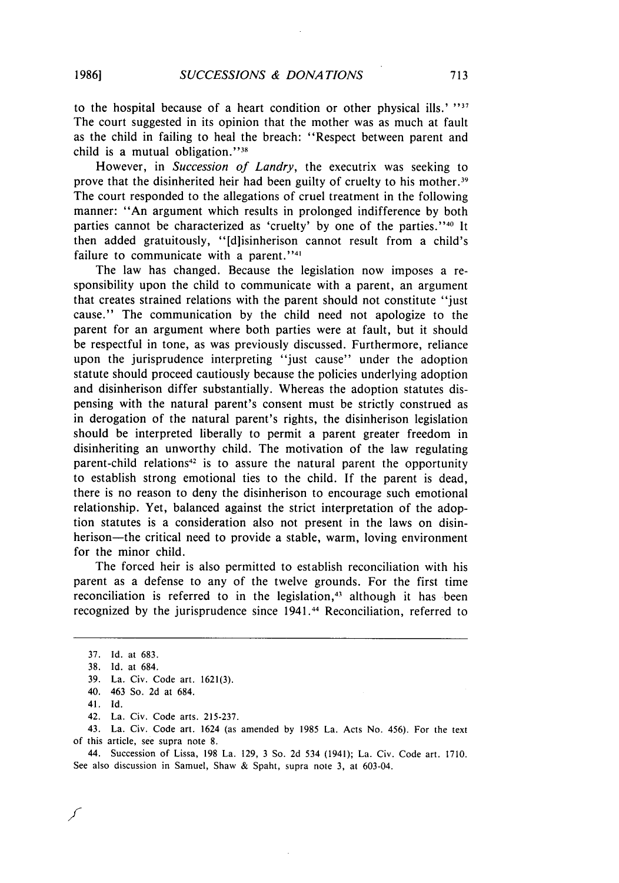**19861**

to the hospital because of a heart condition or other physical ills.' "" The court suggested in its opinion that the mother was as much at fault as the child in failing to heal the breach: "Respect between parent and child is a mutual obligation." $38$ 

However, in *Succession of Landry,* the executrix was seeking to prove that the disinherited heir had been guilty of cruelty to his mother.<sup>39</sup> The court responded to the allegations of cruel treatment in the following manner: "An argument which results in prolonged indifference by both parties cannot be characterized as 'cruelty' by one of the parties." 40 It then added gratuitously, "[d]isinherison cannot result from a child's failure to communicate with a parent."<sup>41</sup>

The law has changed. Because the legislation now imposes a responsibility upon the child to communicate with a parent, an argument that creates strained relations with the parent should not constitute "just cause." The communication by the child need not apologize to the parent for an argument where both parties were at fault, but it should be respectful in tone, as was previously discussed. Furthermore, reliance upon the jurisprudence interpreting "just cause" under the adoption statute should proceed cautiously because the policies underlying adoption and disinherison differ substantially. Whereas the adoption statutes dispensing with the natural parent's consent must be strictly construed as in derogation of the natural parent's rights, the disinherison legislation should be interpreted liberally to permit a parent greater freedom in disinheriting an unworthy child. The motivation of the law regulating parent-child relations<sup>42</sup> is to assure the natural parent the opportunity to establish strong emotional ties to the child. If the parent is dead, there is no reason to deny the disinherison to encourage such emotional relationship. Yet, balanced against the strict interpretation of the adoption statutes is a consideration also not present in the laws on disinherison—the critical need to provide a stable, warm, loving environment for the minor child.

The forced heir is also permitted to establish reconciliation with his parent as a defense to any of the twelve grounds. For the first time reconciliation is referred to in the legislation,<sup>43</sup> although it has been recognized by the jurisprudence since 1941.<sup>44</sup> Reconciliation, referred to

42. La. Civ. Code arts. 215-237.

43. La. Civ. Code art. 1624 (as amended by 1985 La. Acts No. 456). For the text of this article, see supra note 8.

44. Succession of Lissa, 198 La. 129, 3 So. 2d 534 (1941); La. Civ. Code art. 1710. See also discussion in Samuel, Shaw & Spaht, supra note 3, at 603-04.

<sup>37.</sup> Id. at 683.

<sup>38.</sup> Id. at 684.

<sup>39.</sup> La. Civ. Code art. 1621(3).

<sup>40. 463</sup> So. 2d at 684.

<sup>41.</sup> Id.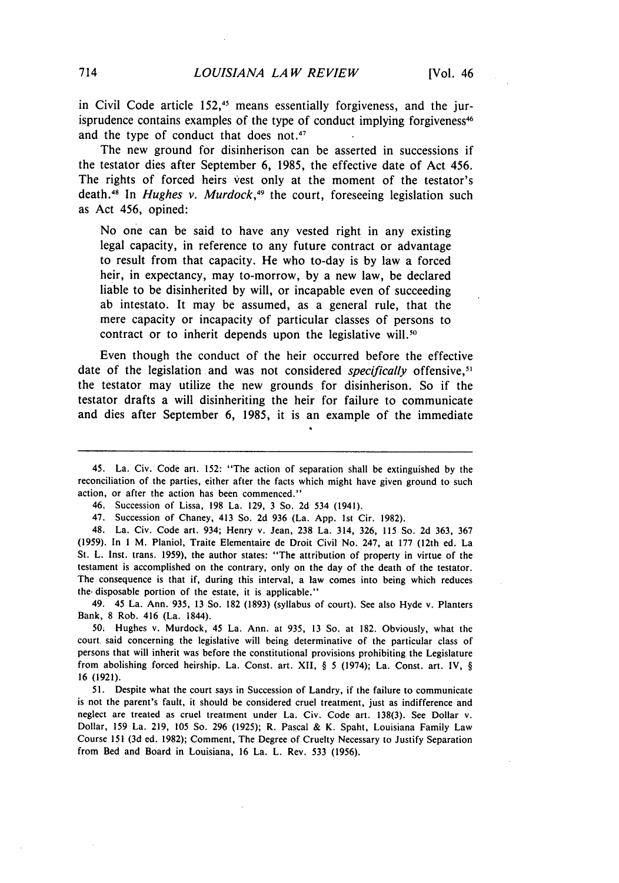in Civil Code article 152,<sup>45</sup> means essentially forgiveness, and the jurisprudence contains examples of the type of conduct implying forgiveness<sup>46</sup> and the type of conduct that does not.<sup>47</sup>

The new ground for disinherison can be asserted in successions if the testator dies after September 6, 1985, the effective date of Act 456. The rights of forced heirs vest only at the moment of the testator's death.<sup>48</sup> In *Hughes v. Murdock*,<sup>49</sup> the court, foreseeing legislation such as Act 456, opined:

No one can be said to have any vested right in any existing legal capacity, in reference to any future contract or advantage to result from that capacity. He who to-day is by law a forced heir, in expectancy, may to-morrow, by a new law, be declared liable to be disinherited by will, or incapable even of succeeding ab intestato. It may be assumed, as a general rule, that the mere capacity or incapacity of particular classes of persons to contract or to inherit depends upon the legislative will. $50$ 

Even though the conduct of the heir occurred before the effective date of the legislation and was not considered *specifically* offensive,<sup>51</sup> the testator may utilize the new grounds for disinherison. So if the testator drafts a will disinheriting the heir for failure to communicate and dies after September 6, 1985, it is an example of the immediate

48. La. Civ. Code art. 934; Henry v. Jean, 238 La. 314, 326, 115 So. 2d 363, 367 (1959). In **I** M. Planiol, Traite Elementaire de Droit Civil No. 247, at 177 (12th ed. La St. L. Inst. trans. 1959), the author states: "The attribution of property in virtue of the testament is accomplished on the contrary, only on the day of the death of the testator. The consequence is that if, during this interval, a law comes into being which reduces the. disposable portion of the estate, it is applicable."

49. 45 La. Ann. 935, 13 So. 182 (1893) (syllabus of court). See also Hyde v. Planters Bank, 8 Rob. 416 (La. 1844).

50. Hughes v. Murdock, 45 La. Ann. at 935, 13 So. at 182. Obviously, what the court said concerning the legislative will being determinative of the particular class of persons that will inherit was before the constitutional provisions prohibiting the Legislature from abolishing forced heirship. La. Const. art. XII, § 5 (1974); La. Const. art. IV, § 16 (1921).

51. Despite what the court says in Succession of Landry, if the failure to communicate is not the parent's fault, it should be considered cruel treatment, just as indifference and neglect are treated as cruel treatment under La. Civ. Code art. 138(3). See Dollar v. Dollar, 159 La. 219, **105** So. 296 (1925); R. Pascal & K. Spaht, Louisiana Family Law Course 151 (3d ed. 1982); Comment, The Degree of Cruelty Necessary to Justify Separation from Bed and Board in Louisiana, 16 La. L. Rev. 533 (1956).

<sup>45.</sup> La. Civ. Code art. 152: "The action of separation shall be extinguished by the reconciliation of the parties, either after the facts which might have given ground to such action, or after the action has been commenced."

<sup>46.</sup> Succession of Lissa, 198 La. 129, 3 So. 2d 534 (1941).

<sup>47.</sup> Succession of Chaney, 413 So. 2d 936 (La. App. 1st Cir. 1982).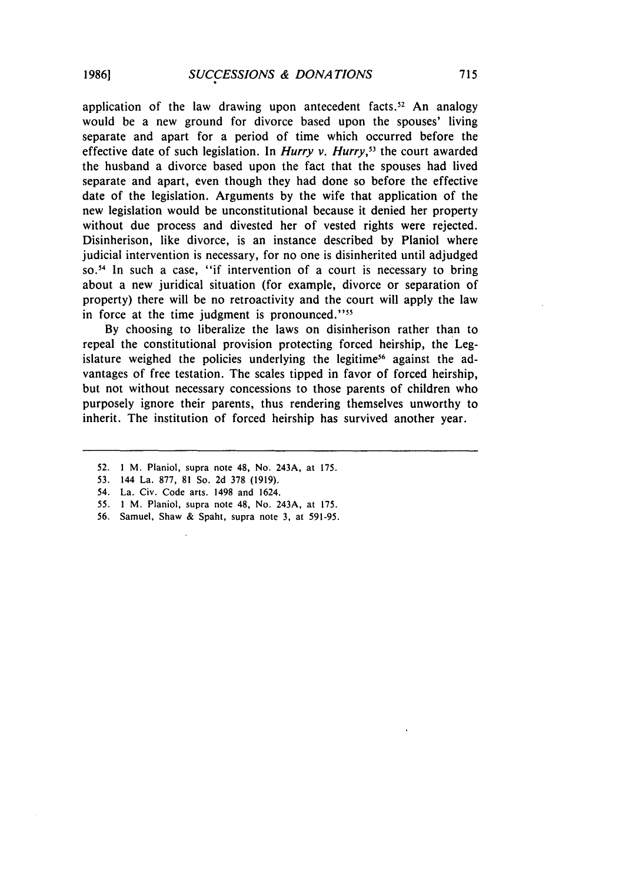application of the law drawing upon antecedent facts.<sup>52</sup> An analogy would be a new ground for divorce based upon the spouses' living separate and apart for a period of time which occurred before the effective date of such legislation. In *Hurry v. Hurry*,<sup>53</sup> the court awarded the husband a divorce based upon the fact that the spouses had lived separate and apart, even though they had done so before the effective date of the legislation. Arguments by the wife that application of the new legislation would be unconstitutional because it denied her property without due process and divested her of vested rights were rejected. Disinherison, like divorce, is an instance described by Planiol where judicial intervention is necessary, for no one is disinherited until adjudged so.<sup>54</sup> In such a case, "if intervention of a court is necessary to bring about a new juridical situation (for example, divorce or separation of property) there will be no retroactivity and the court will apply the law in force at the time judgment is pronounced."<sup>55</sup>

By choosing to liberalize the laws on disinherison rather than to repeal the constitutional provision protecting forced heirship, the Legislature weighed the policies underlying the legitime<sup>56</sup> against the advantages of free testation. The scales tipped in favor of forced heirship, but not without necessary concessions to those parents of children who purposely ignore their parents, thus rendering themselves unworthy to inherit. The institution of forced heirship has survived another year.

52. **1** M. Planiol, supra note 48, No. 243A, at 175.

- 55. **1** M. Planiol, supra note 48, No. 243A, at 175.
- 56. Samuel, Shaw & Spaht, supra note 3, at 591-95.

<sup>53. 144</sup> La. 877, 81 So. 2d 378 (1919).

<sup>54.</sup> La. Civ. Code arts. 1498 and 1624.